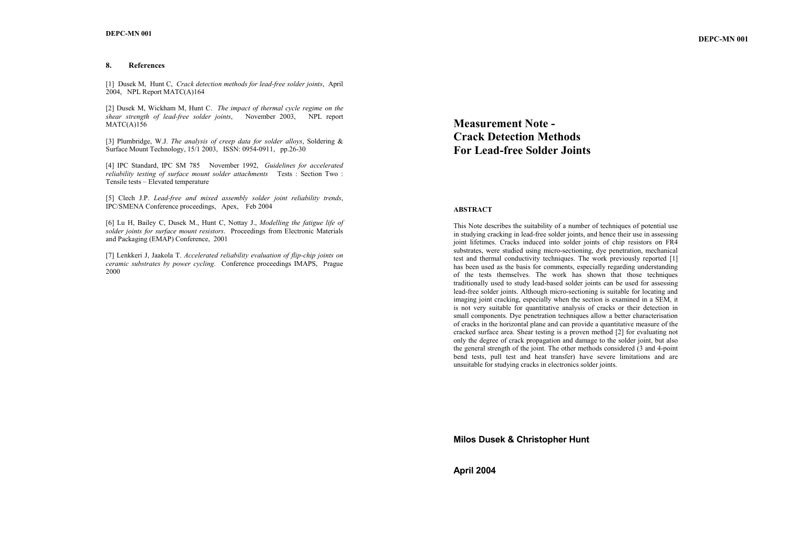### **8. References**

[1] Dusek M, Hunt C, *Crack detection methods for lead-free solder joints*, April 2004, NPL Report MATC(A)164

[2] Dusek M, Wickham M, Hunt C. *The impact of thermal cycle regime on the shear strength of lead-free solder joints*, November 2003, NPL report MATC(A)156

[3] Plumbridge, W.J. *The analysis of creep data for solder alloys*, Soldering & Surface Mount Technology, 15/1 2003, ISSN: 0954-0911, pp.26-30

[4] IPC Standard, IPC SM 785 November 1992, *Guidelines for accelerated reliability testing of surface mount solder attachments* Tests : Section Two : Tensile tests – Elevated temperature

[5] Clech J.P. *Lead-free and mixed assembly solder joint reliability trends*, IPC/SMENA Conference proceedings, Apex, Feb 2004

[6] Lu H, Bailey C, Dusek M., Hunt C, Nottay J., *Modelling the fatigue life of solder joints for surface mount resistors*. Proceedings from Electronic Materials and Packaging (EMAP) Conference, 2001

[7] Lenkkeri J, Jaakola T. *Accelerated reliability evaluation of flip-chip joints on ceramic substrates by power cycling*. Conference proceedings IMAPS, Prague 2000

**Measurement Note - Crack Detection Methods For Lead-free Solder Joints** 

### **ABSTRACT**

This Note describes the suitability of a number of techniques of potential use in studying cracking in lead-free solder joints, and hence their use in assessing joint lifetimes. Cracks induced into solder joints of chip resistors on FR4 substrates, were studied using micro-sectioning, dye penetration, mechanical test and thermal conductivity techniques. The work previously reported [1] has been used as the basis for comments, especially regarding understanding of the tests themselves. The work has shown that those techniques traditionally used to study lead-based solder joints can be used for assessing lead-free solder joints. Although micro-sectioning is suitable for locating and imaging joint cracking, especially when the section is examined in a SEM, it is not very suitable for quantitative analysis of cracks or their detection in small components. Dye penetration techniques allow a better characterisation of cracks in the horizontal plane and can provide a quantitative measure of the cracked surface area. Shear testing is a proven method [2] for evaluating not only the degree of crack propagation and damage to the solder joint, but also the general strength of the joint. The other methods considered (3 and 4-point bend tests, pull test and heat transfer) have severe limitations and are unsuitable for studying cracks in electronics solder joints.

**Milos Dusek & Christopher Hunt** 

**April 2004**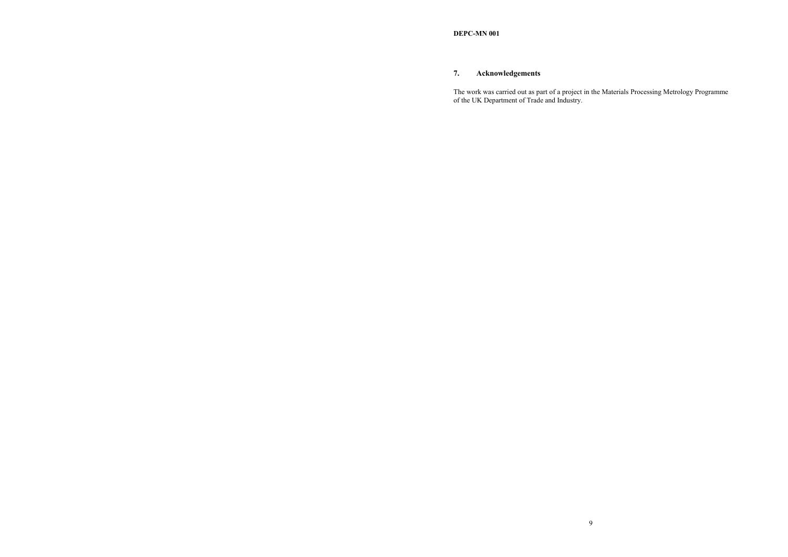# **7. Acknowledgements**

The work was carried out as part of a project in the Materials Processing Metrology Programme of the UK Department of Trade and Industry.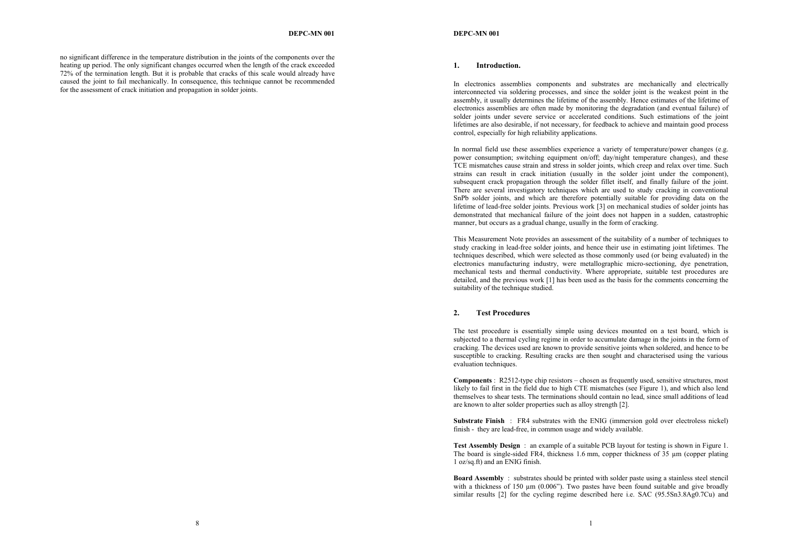no significant difference in the temperature distribution in the joints of the components over the heating up period. The only significant changes occurred when the length of the crack exceeded 72% of the termination length. But it is probable that cracks of this scale would already have caused the joint to fail mechanically. In consequence, this technique cannot be recommended for the assessment of crack initiation and propagation in solder joints.

#### **1. Introduction.**

In electronics assemblies components and substrates are mechanically and electrically interconnected via soldering processes, and since the solder joint is the weakest point in the assembly, it usually determines the lifetime of the assembly. Hence estimates of the lifetime of electronics assemblies are often made by monitoring the degradation (and eventual failure) of solder joints under severe service or accelerated conditions. Such estimations of the joint lifetimes are also desirable, if not necessary, for feedback to achieve and maintain good process control, especially for high reliability applications.

In normal field use these assemblies experience a variety of temperature/power changes (e.g. power consumption; switching equipment on/off; day/night temperature changes), and these TCE mismatches cause strain and stress in solder joints, which creep and relax over time. Such strains can result in crack initiation (usually in the solder joint under the component), subsequent crack propagation through the solder fillet itself, and finally failure of the joint. There are several investigatory techniques which are used to study cracking in conventional SnPb solder joints, and which are therefore potentially suitable for providing data on the lifetime of lead-free solder joints. Previous work [3] on mechanical studies of solder joints has demonstrated that mechanical failure of the joint does not happen in a sudden, catastrophic manner, but occurs as a gradual change, usually in the form of cracking.

This Measurement Note provides an assessment of the suitability of a number of techniques to study cracking in lead-free solder joints, and hence their use in estimating joint lifetimes. The techniques described, which were selected as those commonly used (or being evaluated) in the electronics manufacturing industry, were metallographic micro-sectioning, dye penetration, mechanical tests and thermal conductivity. Where appropriate, suitable test procedures are detailed, and the previous work [1] has been used as the basis for the comments concerning the suitability of the technique studied.

# **2. Test Procedures**

The test procedure is essentially simple using devices mounted on a test board, which is subjected to a thermal cycling regime in order to accumulate damage in the joints in the form of cracking. The devices used are known to provide sensitive joints when soldered, and hence to be susceptible to cracking. Resulting cracks are then sought and characterised using the various evaluation techniques.

**Components** : R2512-type chip resistors – chosen as frequently used, sensitive structures, most likely to fail first in the field due to high CTE mismatches (see Figure 1), and which also lend themselves to shear tests. The terminations should contain no lead, since small additions of lead are known to alter solder properties such as alloy strength [2].

**Substrate Finish** : FR4 substrates with the ENIG (immersion gold over electroless nickel) finish - they are lead-free, in common usage and widely available.

**Test Assembly Design** : an example of a suitable PCB layout for testing is shown in Figure 1. The board is single-sided FR4, thickness 1.6 mm, copper thickness of 35 um (copper plating 1 oz/sq.ft) and an ENIG finish.

**Board Assembly** : substrates should be printed with solder paste using a stainless steel stencil with a thickness of 150  $\mu$ m (0.006"). Two pastes have been found suitable and give broadly similar results [2] for the cycling regime described here i.e. SAC (95.5Sn3.8Ag0.7Cu) and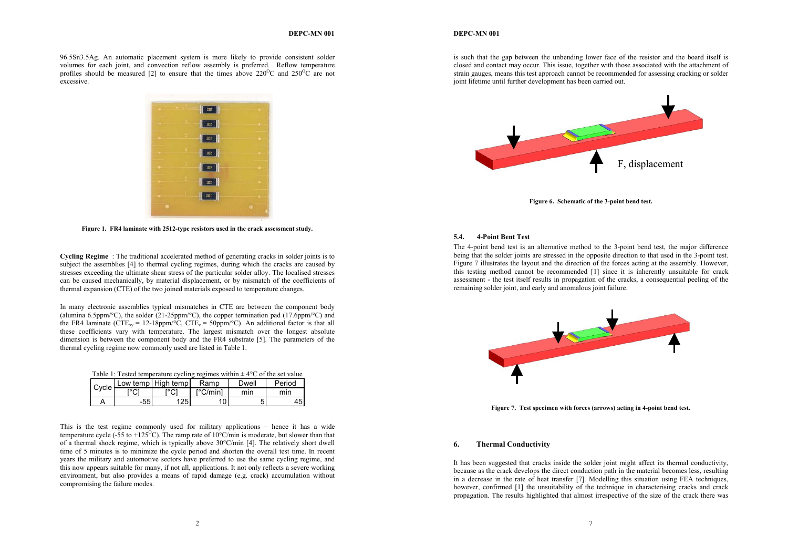#### **DEPC-MN 001**

#### **DEPC-MN 001**

96.5Sn3.5Ag. An automatic placement system is more likely to provide consistent solder volumes for each joint, and convection reflow assembly is preferred. Reflow temperature profiles should be measured [2] to ensure that the times above  $220^{\circ}$ C and  $250^{\circ}$ C are not excessive.



**Figure 1. FR4 laminate with 2512-type resistors used in the crack assessment study.** 

**Cycling Regime** : The traditional accelerated method of generating cracks in solder joints is to subject the assemblies [4] to thermal cycling regimes, during which the cracks are caused by stresses exceeding the ultimate shear stress of the particular solder alloy. The localised stresses can be caused mechanically, by material displacement, or by mismatch of the coefficients of thermal expansion (CTE) of the two joined materials exposed to temperature changes.

In many electronic assemblies typical mismatches in CTE are between the component body (alumina 6.5ppm/°C), the solder (21-25ppm/°C), the copper termination pad (17.6ppm/°C) and the FR4 laminate (CTE<sub>xy</sub> = 12-18ppm/°C, CTE<sub>z</sub> = 50ppm/°C). An additional factor is that all these coefficients vary with temperature. The largest mismatch over the longest absolute dimension is between the component body and the FR4 substrate [5]. The parameters of the thermal cycling regime now commonly used are listed in Table 1.

|  |  |  |  | Table 1: Tested temperature cycling regimes within $\pm$ 4 $\degree$ C of the set value |
|--|--|--|--|-----------------------------------------------------------------------------------------|
|  |  |  |  |                                                                                         |

| Cycle |    | Low temp High temp | Ramp                    | Dwell | Period |
|-------|----|--------------------|-------------------------|-------|--------|
|       | U  |                    | $\Gamma^{\circ}$ C/minl | min   | mın    |
|       | 55 | 25                 | 10                      | 5     | 45     |

This is the test regime commonly used for military applications – hence it has a wide temperature cycle (-55 to +125<sup>o</sup>C). The ramp rate of 10<sup>o</sup>C/min is moderate, but slower than that of a thermal shock regime, which is typically above  $30^{\circ}$ C/min [4]. The relatively short dwell time of 5 minutes is to minimize the cycle period and shorten the overall test time. In recent years the military and automotive sectors have preferred to use the same cycling regime, and this now appears suitable for many, if not all, applications. It not only reflects a severe working environment, but also provides a means of rapid damage (e.g. crack) accumulation without compromising the failure modes.

is such that the gap between the unbending lower face of the resistor and the board itself is closed and contact may occur. This issue, together with those associated with the attachment of strain gauges, means this test approach cannot be recommended for assessing cracking or solder joint lifetime until further development has been carried out.



**Figure 6. Schematic of the 3-point bend test.** 

### **5.4. 4-Point Bent Test**

The 4-point bend test is an alternative method to the 3-point bend test, the major difference being that the solder joints are stressed in the opposite direction to that used in the 3-point test. Figure 7 illustrates the layout and the direction of the forces acting at the assembly. However, this testing method cannot be recommended [1] since it is inherently unsuitable for crack assessment - the test itself results in propagation of the cracks, a consequential peeling of the remaining solder joint, and early and anomalous joint failure.



**Figure 7. Test specimen with forces (arrows) acting in 4-point bend test.** 

#### **6. Thermal Conductivity**

It has been suggested that cracks inside the solder joint might affect its thermal conductivity, because as the crack develops the direct conduction path in the material becomes less, resulting in a decrease in the rate of heat transfer [7]. Modelling this situation using FEA techniques, however, confirmed [1] the unsuitability of the technique in characterising cracks and crack propagation. The results highlighted that almost irrespective of the size of the crack there was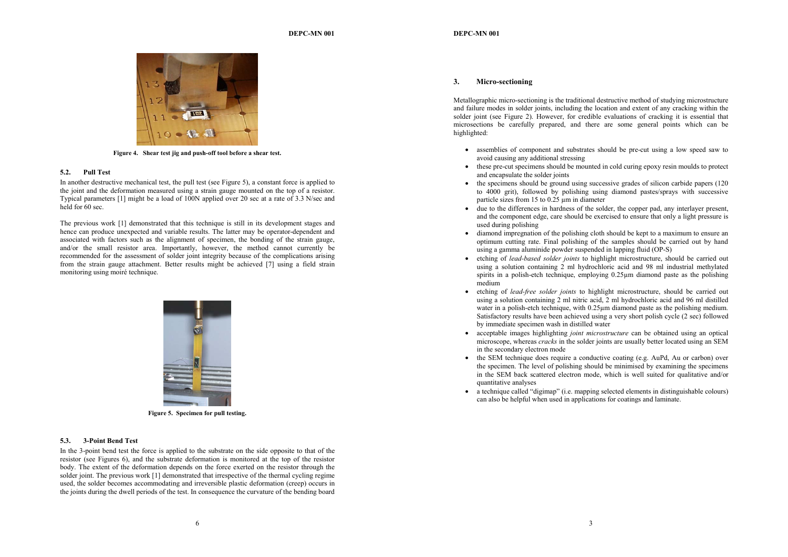

**Figure 4. Shear test jig and push-off tool before a shear test.** 

### **5.2. Pull Test**

In another destructive mechanical test, the pull test (see Figure 5), a constant force is applied to the joint and the deformation measured using a strain gauge mounted on the top of a resistor. Typical parameters [1] might be a load of 100N applied over 20 sec at a rate of 3.3 N/sec and held for 60 sec.

The previous work [1] demonstrated that this technique is still in its development stages and hence can produce unexpected and variable results. The latter may be operator-dependent and associated with factors such as the alignment of specimen, the bonding of the strain gauge, and/or the small resistor area. Importantly, however, the method cannot currently be recommended for the assessment of solder joint integrity because of the complications arising from the strain gauge attachment. Better results might be achieved [7] using a field strain monitoring using moiré technique.



**Figure 5. Specimen for pull testing.** 

### **5.3. 3-Point Bend Test**

In the 3-point bend test the force is applied to the substrate on the side opposite to that of the resistor (see Figures 6), and the substrate deformation is monitored at the top of the resistor body. The extent of the deformation depends on the force exerted on the resistor through the solder joint. The previous work [1] demonstrated that irrespective of the thermal cycling regime used, the solder becomes accommodating and irreversible plastic deformation (creep) occurs in the joints during the dwell periods of the test. In consequence the curvature of the bending board

#### **3. Micro-sectioning**

Metallographic micro-sectioning is the traditional destructive method of studying microstructure and failure modes in solder joints, including the location and extent of any cracking within the solder joint (see Figure 2). However, for credible evaluations of cracking it is essential that microsections be carefully prepared, and there are some general points which can be highlighted:

- assemblies of component and substrates should be pre-cut using a low speed saw to avoid causing any additional stressing
- these pre-cut specimens should be mounted in cold curing epoxy resin moulds to protect and encapsulate the solder joints
- the specimens should be ground using successive grades of silicon carbide papers (120) to 4000 grit), followed by polishing using diamond pastes/sprays with successive particle sizes from 15 to 0.25 µm in diameter
- due to the differences in hardness of the solder, the copper pad, any interlayer present, and the component edge, care should be exercised to ensure that only a light pressure is used during polishing
- diamond impregnation of the polishing cloth should be kept to a maximum to ensure an optimum cutting rate. Final polishing of the samples should be carried out by hand using a gamma aluminide powder suspended in lapping fluid (OP-S)
- etching of *lead-based solder joints* to highlight microstructure, should be carried out using a solution containing 2 ml hydrochloric acid and 98 ml industrial methylated spirits in a polish-etch technique, employing 0.25µm diamond paste as the polishing medium
- etching of *lead-free solder joints* to highlight microstructure, should be carried out using a solution containing 2 ml nitric acid, 2 ml hydrochloric acid and 96 ml distilled water in a polish-etch technique, with 0.25<sub>um</sub> diamond paste as the polishing medium. Satisfactory results have been achieved using a very short polish cycle (2 sec) followed by immediate specimen wash in distilled water
- acceptable images highlighting *joint microstructure* can be obtained using an optical microscope, whereas *cracks* in the solder joints are usually better located using an SEM in the secondary electron mode
- the SEM technique does require a conductive coating (e.g. AuPd, Au or carbon) over the specimen. The level of polishing should be minimised by examining the specimens in the SEM back scattered electron mode, which is well suited for qualitative and/or quantitative analyses
- a technique called "digimap" (i.e. mapping selected elements in distinguishable colours) can also be helpful when used in applications for coatings and laminate.